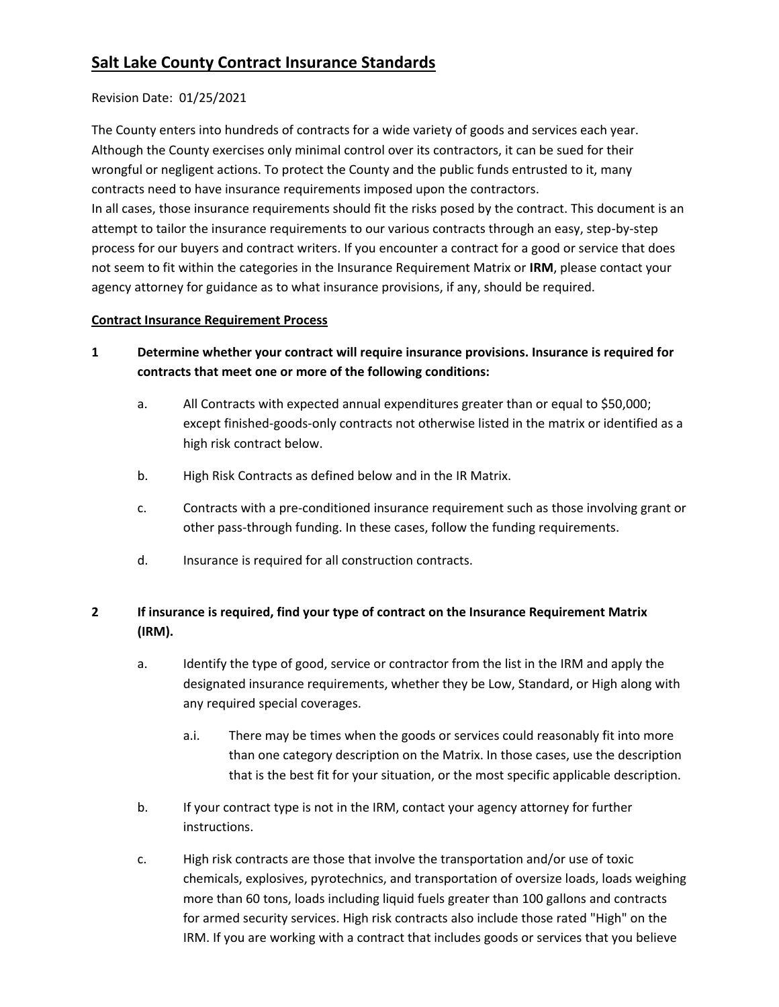# **Salt Lake County Contract Insurance Standards**

# Revision Date: 01/25/2021

The County enters into hundreds of contracts for a wide variety of goods and services each year. Although the County exercises only minimal control over its contractors, it can be sued for their wrongful or negligent actions. To protect the County and the public funds entrusted to it, many contracts need to have insurance requirements imposed upon the contractors. In all cases, those insurance requirements should fit the risks posed by the contract. This document is an attempt to tailor the insurance requirements to our various contracts through an easy, step-by-step process for our buyers and contract writers. If you encounter a contract for a good or service that does not seem to fit within the categories in the Insurance Requirement Matrix or **IRM**, please contact your agency attorney for guidance as to what insurance provisions, if any, should be required.

# **Contract Insurance Requirement Process**

- **1 Determine whether your contract will require insurance provisions. Insurance is required for contracts that meet one or more of the following conditions:**
	- a. All Contracts with expected annual expenditures greater than or equal to \$50,000; except finished-goods-only contracts not otherwise listed in the matrix or identified as a high risk contract below.
	- b. High Risk Contracts as defined below and in the IR Matrix.
	- c. Contracts with a pre-conditioned insurance requirement such as those involving grant or other pass-through funding. In these cases, follow the funding requirements.
	- d. Insurance is required for all construction contracts.

# **2 If insurance is required, find your type of contract on the Insurance Requirement Matrix (IRM).**

- a. Identify the type of good, service or contractor from the list in the IRM and apply the designated insurance requirements, whether they be Low, Standard, or High along with any required special coverages.
	- a.i. There may be times when the goods or services could reasonably fit into more than one category description on the Matrix. In those cases, use the description that is the best fit for your situation, or the most specific applicable description.
- b. If your contract type is not in the IRM, contact your agency attorney for further instructions.
- c. High risk contracts are those that involve the transportation and/or use of toxic chemicals, explosives, pyrotechnics, and transportation of oversize loads, loads weighing more than 60 tons, loads including liquid fuels greater than 100 gallons and contracts for armed security services. High risk contracts also include those rated "High" on the IRM. If you are working with a contract that includes goods or services that you believe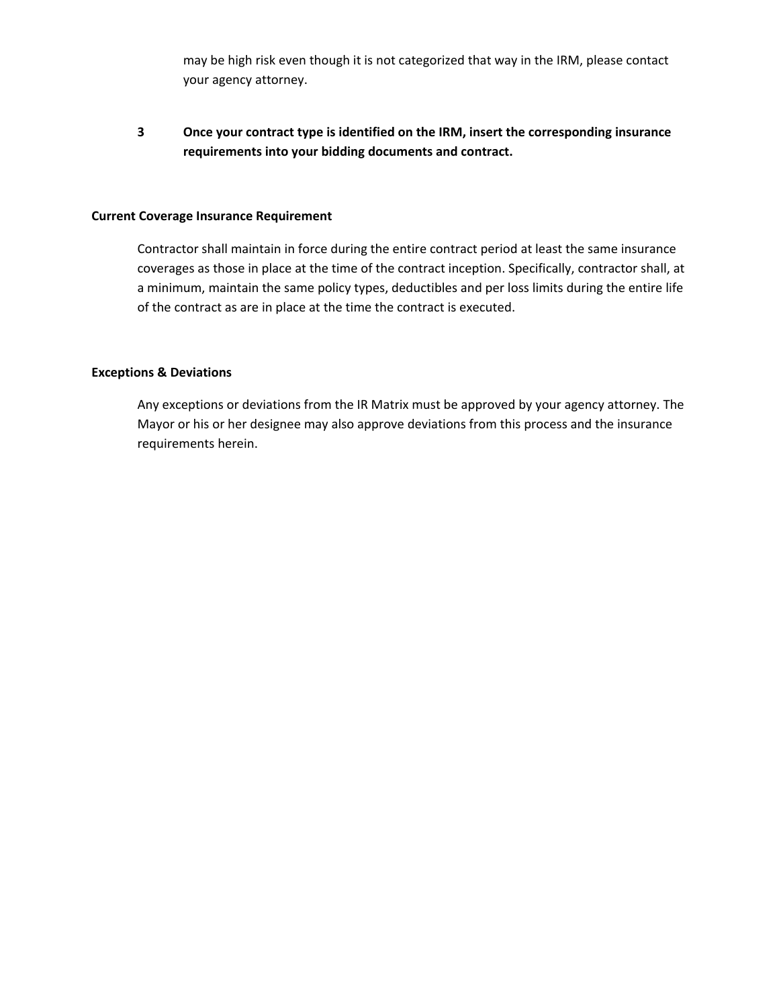may be high risk even though it is not categorized that way in the IRM, please contact your agency attorney.

**3 Once your contract type is identified on the IRM, insert the corresponding insurance requirements into your bidding documents and contract.** 

#### **Current Coverage Insurance Requirement**

Contractor shall maintain in force during the entire contract period at least the same insurance coverages as those in place at the time of the contract inception. Specifically, contractor shall, at a minimum, maintain the same policy types, deductibles and per loss limits during the entire life of the contract as are in place at the time the contract is executed.

### **Exceptions & Deviations**

Any exceptions or deviations from the IR Matrix must be approved by your agency attorney. The Mayor or his or her designee may also approve deviations from this process and the insurance requirements herein.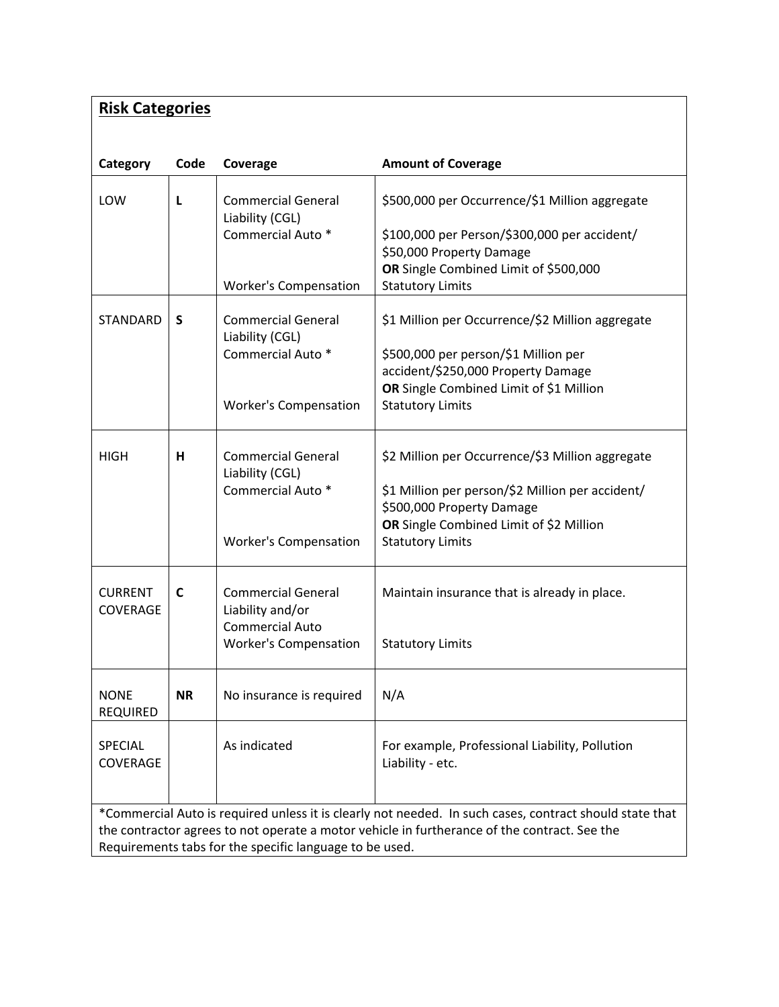| <b>Risk Categories</b>                                                                                                                                                                                  |           |                                                                              |                                                                                                                          |  |
|---------------------------------------------------------------------------------------------------------------------------------------------------------------------------------------------------------|-----------|------------------------------------------------------------------------------|--------------------------------------------------------------------------------------------------------------------------|--|
|                                                                                                                                                                                                         |           |                                                                              |                                                                                                                          |  |
| Category                                                                                                                                                                                                | Code      | Coverage                                                                     | <b>Amount of Coverage</b>                                                                                                |  |
| LOW                                                                                                                                                                                                     | L         | <b>Commercial General</b><br>Liability (CGL)<br>Commercial Auto <sup>*</sup> | \$500,000 per Occurrence/\$1 Million aggregate<br>\$100,000 per Person/\$300,000 per accident/                           |  |
|                                                                                                                                                                                                         |           |                                                                              | \$50,000 Property Damage                                                                                                 |  |
|                                                                                                                                                                                                         |           | <b>Worker's Compensation</b>                                                 | OR Single Combined Limit of \$500,000<br><b>Statutory Limits</b>                                                         |  |
| <b>STANDARD</b>                                                                                                                                                                                         | S         | <b>Commercial General</b><br>Liability (CGL)<br>Commercial Auto <sup>*</sup> | \$1 Million per Occurrence/\$2 Million aggregate<br>\$500,000 per person/\$1 Million per                                 |  |
|                                                                                                                                                                                                         |           | <b>Worker's Compensation</b>                                                 | accident/\$250,000 Property Damage<br>OR Single Combined Limit of \$1 Million<br><b>Statutory Limits</b>                 |  |
|                                                                                                                                                                                                         |           |                                                                              |                                                                                                                          |  |
| <b>HIGH</b>                                                                                                                                                                                             | н         | <b>Commercial General</b><br>Liability (CGL)                                 | \$2 Million per Occurrence/\$3 Million aggregate                                                                         |  |
|                                                                                                                                                                                                         |           | Commercial Auto <sup>*</sup>                                                 | \$1 Million per person/\$2 Million per accident/<br>\$500,000 Property Damage<br>OR Single Combined Limit of \$2 Million |  |
|                                                                                                                                                                                                         |           | <b>Worker's Compensation</b>                                                 | <b>Statutory Limits</b>                                                                                                  |  |
| <b>CURRENT</b><br><b>COVERAGE</b>                                                                                                                                                                       | C         | <b>Commercial General</b><br>Liability and/or                                | Maintain insurance that is already in place.                                                                             |  |
|                                                                                                                                                                                                         |           | <b>Commercial Auto</b><br><b>Worker's Compensation</b>                       | <b>Statutory Limits</b>                                                                                                  |  |
| <b>NONE</b><br><b>REQUIRED</b>                                                                                                                                                                          | <b>NR</b> | No insurance is required                                                     | N/A                                                                                                                      |  |
| SPECIAL<br><b>COVERAGE</b>                                                                                                                                                                              |           | As indicated                                                                 | For example, Professional Liability, Pollution<br>Liability - etc.                                                       |  |
| *Commercial Auto is required unless it is clearly not needed. In such cases, contract should state that<br>the contractor agrees to not operate a motor vehicle in furtherance of the contract. See the |           |                                                                              |                                                                                                                          |  |
| Requirements tabs for the specific language to be used.                                                                                                                                                 |           |                                                                              |                                                                                                                          |  |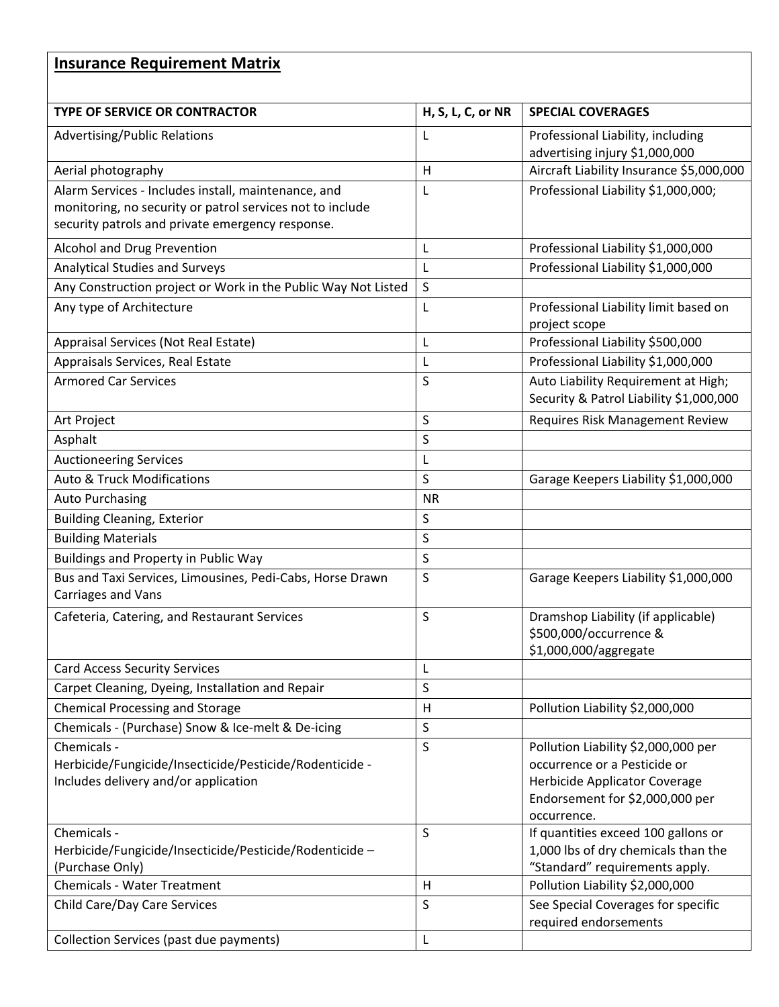# **Insurance Requirement Matrix**

| <b>TYPE OF SERVICE OR CONTRACTOR</b>                          | H, S, L, C, or NR | <b>SPECIAL COVERAGES</b>                                                       |
|---------------------------------------------------------------|-------------------|--------------------------------------------------------------------------------|
| <b>Advertising/Public Relations</b>                           | L                 | Professional Liability, including                                              |
|                                                               |                   | advertising injury \$1,000,000                                                 |
| Aerial photography                                            | H                 | Aircraft Liability Insurance \$5,000,000                                       |
| Alarm Services - Includes install, maintenance, and           | L                 | Professional Liability \$1,000,000;                                            |
| monitoring, no security or patrol services not to include     |                   |                                                                                |
| security patrols and private emergency response.              |                   |                                                                                |
| Alcohol and Drug Prevention                                   | L                 | Professional Liability \$1,000,000                                             |
| <b>Analytical Studies and Surveys</b>                         | L                 | Professional Liability \$1,000,000                                             |
| Any Construction project or Work in the Public Way Not Listed | S                 |                                                                                |
| Any type of Architecture                                      | L                 | Professional Liability limit based on<br>project scope                         |
| Appraisal Services (Not Real Estate)                          | L                 | Professional Liability \$500,000                                               |
| Appraisals Services, Real Estate                              | L                 | Professional Liability \$1,000,000                                             |
| <b>Armored Car Services</b>                                   | S                 | Auto Liability Requirement at High;<br>Security & Patrol Liability \$1,000,000 |
| Art Project                                                   | S                 | Requires Risk Management Review                                                |
| Asphalt                                                       | S                 |                                                                                |
| <b>Auctioneering Services</b>                                 | L                 |                                                                                |
| <b>Auto &amp; Truck Modifications</b>                         | S                 | Garage Keepers Liability \$1,000,000                                           |
| <b>Auto Purchasing</b>                                        | <b>NR</b>         |                                                                                |
| <b>Building Cleaning, Exterior</b>                            | $\sf S$           |                                                                                |
| <b>Building Materials</b>                                     | S                 |                                                                                |
| Buildings and Property in Public Way                          | $\sf S$           |                                                                                |
| Bus and Taxi Services, Limousines, Pedi-Cabs, Horse Drawn     | S                 | Garage Keepers Liability \$1,000,000                                           |
| Carriages and Vans                                            |                   |                                                                                |
| Cafeteria, Catering, and Restaurant Services                  | S                 | Dramshop Liability (if applicable)                                             |
|                                                               |                   | \$500,000/occurrence &                                                         |
|                                                               |                   | \$1,000,000/aggregate                                                          |
| <b>Card Access Security Services</b>                          | L                 |                                                                                |
| Carpet Cleaning, Dyeing, Installation and Repair              | $\sf S$           |                                                                                |
| <b>Chemical Processing and Storage</b>                        | H                 | Pollution Liability \$2,000,000                                                |
| Chemicals - (Purchase) Snow & Ice-melt & De-icing             | $\sf S$           |                                                                                |
| Chemicals -                                                   | S                 | Pollution Liability \$2,000,000 per                                            |
| Herbicide/Fungicide/Insecticide/Pesticide/Rodenticide -       |                   | occurrence or a Pesticide or                                                   |
| Includes delivery and/or application                          |                   | Herbicide Applicator Coverage<br>Endorsement for \$2,000,000 per               |
|                                                               |                   | occurrence.                                                                    |
| Chemicals -                                                   | S                 | If quantities exceed 100 gallons or                                            |
| Herbicide/Fungicide/Insecticide/Pesticide/Rodenticide -       |                   | 1,000 lbs of dry chemicals than the                                            |
| (Purchase Only)                                               |                   | "Standard" requirements apply.                                                 |
| Chemicals - Water Treatment                                   | H                 | Pollution Liability \$2,000,000                                                |
| Child Care/Day Care Services                                  | S                 | See Special Coverages for specific<br>required endorsements                    |
| Collection Services (past due payments)                       | L                 |                                                                                |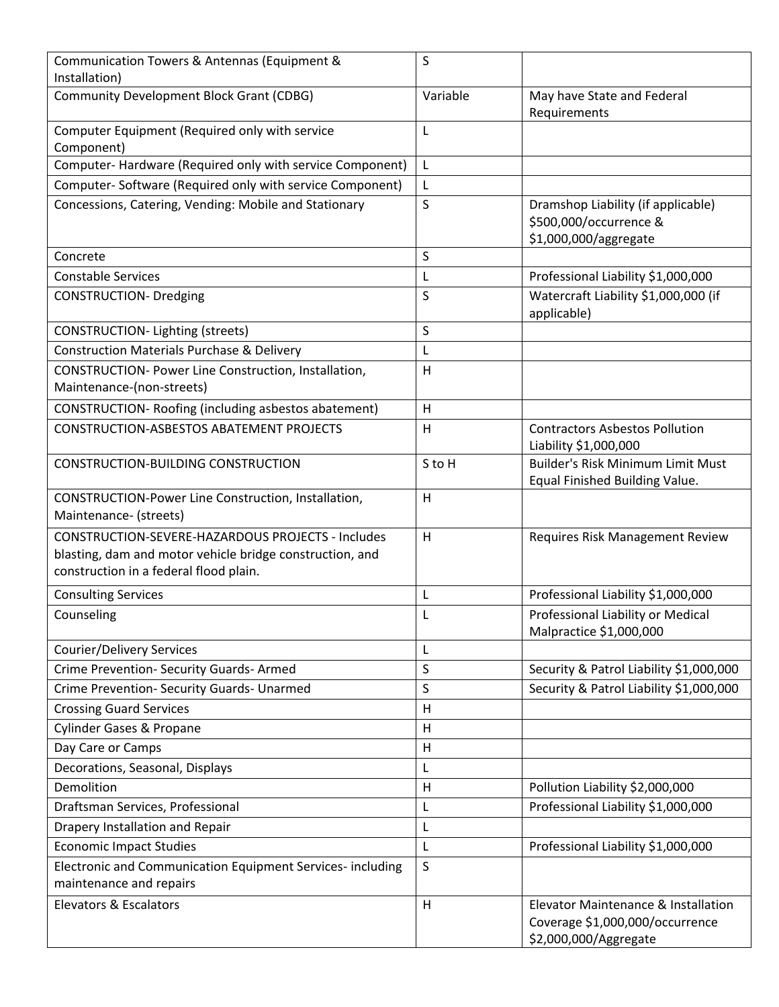| Communication Towers & Antennas (Equipment &<br>Installation)                                                                                           | S        |                                                                                                 |
|---------------------------------------------------------------------------------------------------------------------------------------------------------|----------|-------------------------------------------------------------------------------------------------|
| <b>Community Development Block Grant (CDBG)</b>                                                                                                         | Variable | May have State and Federal<br>Requirements                                                      |
| Computer Equipment (Required only with service<br>Component)                                                                                            | L        |                                                                                                 |
| Computer-Hardware (Required only with service Component)                                                                                                | L        |                                                                                                 |
| Computer-Software (Required only with service Component)                                                                                                | L        |                                                                                                 |
| Concessions, Catering, Vending: Mobile and Stationary                                                                                                   | S        | Dramshop Liability (if applicable)<br>\$500,000/occurrence &<br>\$1,000,000/aggregate           |
| Concrete                                                                                                                                                | S        |                                                                                                 |
| <b>Constable Services</b>                                                                                                                               | L        | Professional Liability \$1,000,000                                                              |
| <b>CONSTRUCTION- Dredging</b>                                                                                                                           | S        | Watercraft Liability \$1,000,000 (if<br>applicable)                                             |
| CONSTRUCTION-Lighting (streets)                                                                                                                         | $\sf S$  |                                                                                                 |
| <b>Construction Materials Purchase &amp; Delivery</b>                                                                                                   | L        |                                                                                                 |
| CONSTRUCTION- Power Line Construction, Installation,<br>Maintenance-(non-streets)                                                                       | H        |                                                                                                 |
| CONSTRUCTION- Roofing (including asbestos abatement)                                                                                                    | H        |                                                                                                 |
| <b>CONSTRUCTION-ASBESTOS ABATEMENT PROJECTS</b>                                                                                                         | H        | <b>Contractors Asbestos Pollution</b><br>Liability \$1,000,000                                  |
| CONSTRUCTION-BUILDING CONSTRUCTION                                                                                                                      | S to H   | Builder's Risk Minimum Limit Must<br>Equal Finished Building Value.                             |
| CONSTRUCTION-Power Line Construction, Installation,<br>Maintenance- (streets)                                                                           | H        |                                                                                                 |
| CONSTRUCTION-SEVERE-HAZARDOUS PROJECTS - Includes<br>blasting, dam and motor vehicle bridge construction, and<br>construction in a federal flood plain. | H        | Requires Risk Management Review                                                                 |
| <b>Consulting Services</b>                                                                                                                              | L        | Professional Liability \$1,000,000                                                              |
| Counseling                                                                                                                                              | L        | Professional Liability or Medical<br>Malpractice \$1,000,000                                    |
| <b>Courier/Delivery Services</b>                                                                                                                        | L        |                                                                                                 |
| Crime Prevention- Security Guards- Armed                                                                                                                | $\sf S$  | Security & Patrol Liability \$1,000,000                                                         |
| Crime Prevention- Security Guards- Unarmed                                                                                                              | $\sf S$  | Security & Patrol Liability \$1,000,000                                                         |
| <b>Crossing Guard Services</b>                                                                                                                          | H        |                                                                                                 |
| <b>Cylinder Gases &amp; Propane</b>                                                                                                                     | H        |                                                                                                 |
| Day Care or Camps                                                                                                                                       | H        |                                                                                                 |
| Decorations, Seasonal, Displays                                                                                                                         | L        |                                                                                                 |
| Demolition                                                                                                                                              | H        | Pollution Liability \$2,000,000                                                                 |
| Draftsman Services, Professional                                                                                                                        | L        | Professional Liability \$1,000,000                                                              |
| Drapery Installation and Repair                                                                                                                         | L        |                                                                                                 |
| <b>Economic Impact Studies</b>                                                                                                                          | L        | Professional Liability \$1,000,000                                                              |
| Electronic and Communication Equipment Services- including<br>maintenance and repairs                                                                   | $\sf S$  |                                                                                                 |
| Elevators & Escalators                                                                                                                                  | H        | Elevator Maintenance & Installation<br>Coverage \$1,000,000/occurrence<br>\$2,000,000/Aggregate |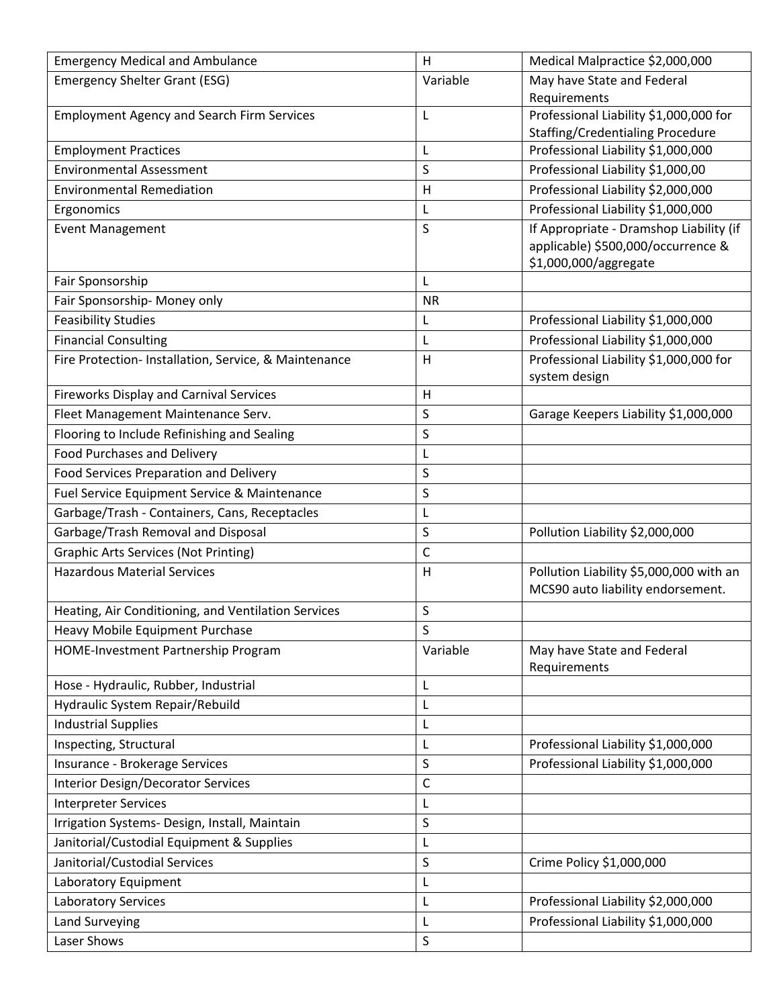| <b>Emergency Medical and Ambulance</b>                | H           | Medical Malpractice \$2,000,000                                                                        |
|-------------------------------------------------------|-------------|--------------------------------------------------------------------------------------------------------|
| <b>Emergency Shelter Grant (ESG)</b>                  | Variable    | May have State and Federal                                                                             |
|                                                       |             | Requirements                                                                                           |
| <b>Employment Agency and Search Firm Services</b>     | L           | Professional Liability \$1,000,000 for<br><b>Staffing/Credentialing Procedure</b>                      |
| <b>Employment Practices</b>                           | L           | Professional Liability \$1,000,000                                                                     |
| <b>Environmental Assessment</b>                       | S           | Professional Liability \$1,000,00                                                                      |
| <b>Environmental Remediation</b>                      | H           | Professional Liability \$2,000,000                                                                     |
|                                                       |             | Professional Liability \$1,000,000                                                                     |
| Ergonomics                                            | L           |                                                                                                        |
| <b>Event Management</b>                               | S           | If Appropriate - Dramshop Liability (if<br>applicable) \$500,000/occurrence &<br>\$1,000,000/aggregate |
| Fair Sponsorship                                      | L           |                                                                                                        |
| Fair Sponsorship- Money only                          | <b>NR</b>   |                                                                                                        |
| <b>Feasibility Studies</b>                            | L           | Professional Liability \$1,000,000                                                                     |
| <b>Financial Consulting</b>                           | L           | Professional Liability \$1,000,000                                                                     |
| Fire Protection- Installation, Service, & Maintenance | H           | Professional Liability \$1,000,000 for                                                                 |
|                                                       |             | system design                                                                                          |
| <b>Fireworks Display and Carnival Services</b>        | H           |                                                                                                        |
| Fleet Management Maintenance Serv.                    | $\sf S$     | Garage Keepers Liability \$1,000,000                                                                   |
| Flooring to Include Refinishing and Sealing           | $\sf S$     |                                                                                                        |
| <b>Food Purchases and Delivery</b>                    | L           |                                                                                                        |
| <b>Food Services Preparation and Delivery</b>         | S           |                                                                                                        |
| Fuel Service Equipment Service & Maintenance          | $\sf S$     |                                                                                                        |
| Garbage/Trash - Containers, Cans, Receptacles         | L           |                                                                                                        |
| Garbage/Trash Removal and Disposal                    | S           | Pollution Liability \$2,000,000                                                                        |
| <b>Graphic Arts Services (Not Printing)</b>           | $\mathsf C$ |                                                                                                        |
| <b>Hazardous Material Services</b>                    | Н           | Pollution Liability \$5,000,000 with an                                                                |
|                                                       |             | MCS90 auto liability endorsement.                                                                      |
| Heating, Air Conditioning, and Ventilation Services   | $\sf S$     |                                                                                                        |
| Heavy Mobile Equipment Purchase                       | $\sf S$     |                                                                                                        |
| HOME-Investment Partnership Program                   | Variable    | May have State and Federal<br>Requirements                                                             |
| Hose - Hydraulic, Rubber, Industrial                  | L           |                                                                                                        |
| Hydraulic System Repair/Rebuild                       | L           |                                                                                                        |
| <b>Industrial Supplies</b>                            | L           |                                                                                                        |
| Inspecting, Structural                                | L           | Professional Liability \$1,000,000                                                                     |
| Insurance - Brokerage Services                        | $\sf S$     | Professional Liability \$1,000,000                                                                     |
| <b>Interior Design/Decorator Services</b>             | $\mathsf C$ |                                                                                                        |
| <b>Interpreter Services</b>                           | L           |                                                                                                        |
| Irrigation Systems- Design, Install, Maintain         | $\sf S$     |                                                                                                        |
| Janitorial/Custodial Equipment & Supplies             | L           |                                                                                                        |
| Janitorial/Custodial Services                         | S           | Crime Policy \$1,000,000                                                                               |
| Laboratory Equipment                                  | L           |                                                                                                        |
| Laboratory Services                                   | L           | Professional Liability \$2,000,000                                                                     |
| <b>Land Surveying</b>                                 | L           | Professional Liability \$1,000,000                                                                     |
| Laser Shows                                           | S           |                                                                                                        |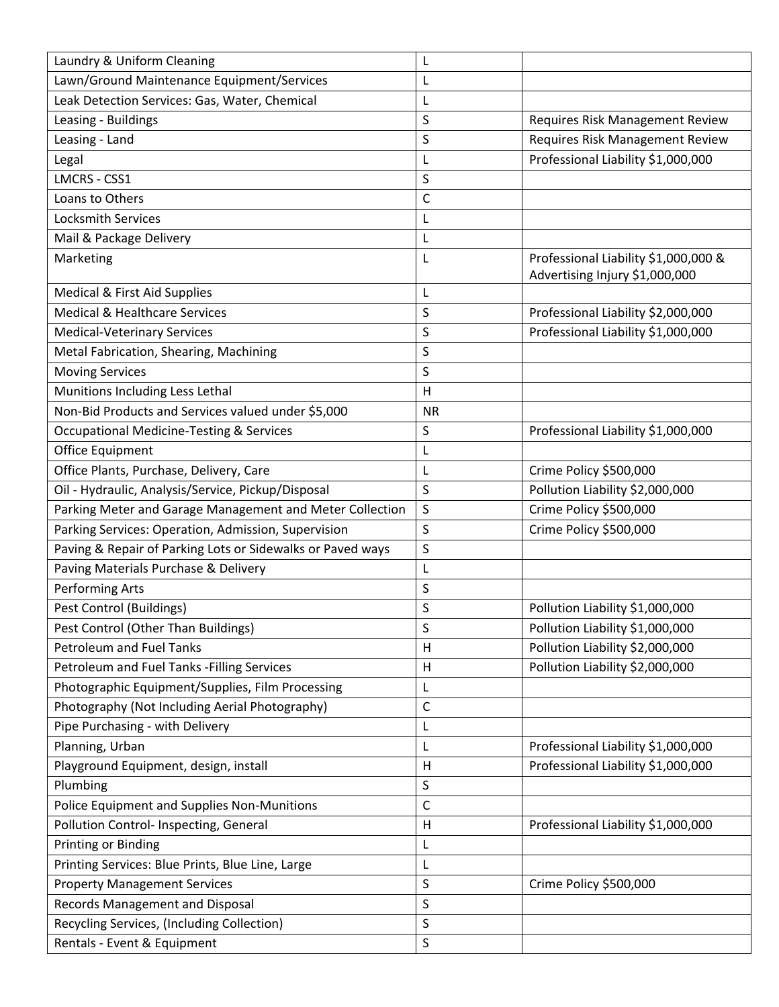| Laundry & Uniform Cleaning                                 | L         |                                                                        |
|------------------------------------------------------------|-----------|------------------------------------------------------------------------|
| Lawn/Ground Maintenance Equipment/Services                 | L         |                                                                        |
| Leak Detection Services: Gas, Water, Chemical              | L         |                                                                        |
| Leasing - Buildings                                        | S         | Requires Risk Management Review                                        |
| Leasing - Land                                             | S         | Requires Risk Management Review                                        |
| Legal                                                      | L         | Professional Liability \$1,000,000                                     |
| LMCRS - CSS1                                               | S         |                                                                        |
| Loans to Others                                            | C         |                                                                        |
| <b>Locksmith Services</b>                                  | L         |                                                                        |
| Mail & Package Delivery                                    | L         |                                                                        |
| Marketing                                                  | L         | Professional Liability \$1,000,000 &<br>Advertising Injury \$1,000,000 |
| Medical & First Aid Supplies                               | L         |                                                                        |
| Medical & Healthcare Services                              | S         | Professional Liability \$2,000,000                                     |
| <b>Medical-Veterinary Services</b>                         | S         | Professional Liability \$1,000,000                                     |
| Metal Fabrication, Shearing, Machining                     | S         |                                                                        |
| <b>Moving Services</b>                                     | S         |                                                                        |
| Munitions Including Less Lethal                            | H         |                                                                        |
| Non-Bid Products and Services valued under \$5,000         | <b>NR</b> |                                                                        |
| <b>Occupational Medicine-Testing &amp; Services</b>        | S         | Professional Liability \$1,000,000                                     |
| Office Equipment                                           | L         |                                                                        |
| Office Plants, Purchase, Delivery, Care                    | L         | Crime Policy \$500,000                                                 |
| Oil - Hydraulic, Analysis/Service, Pickup/Disposal         | S         | Pollution Liability \$2,000,000                                        |
| Parking Meter and Garage Management and Meter Collection   | S         | Crime Policy \$500,000                                                 |
| Parking Services: Operation, Admission, Supervision        | S         | Crime Policy \$500,000                                                 |
| Paving & Repair of Parking Lots or Sidewalks or Paved ways | S         |                                                                        |
| Paving Materials Purchase & Delivery                       | L         |                                                                        |
| <b>Performing Arts</b>                                     | S         |                                                                        |
| Pest Control (Buildings)                                   | S         | Pollution Liability \$1,000,000                                        |
| Pest Control (Other Than Buildings)                        | S         | Pollution Liability \$1,000,000                                        |
| <b>Petroleum and Fuel Tanks</b>                            | H         | Pollution Liability \$2,000,000                                        |
| Petroleum and Fuel Tanks - Filling Services                | Η         | Pollution Liability \$2,000,000                                        |
| Photographic Equipment/Supplies, Film Processing           | L         |                                                                        |
| Photography (Not Including Aerial Photography)             | C         |                                                                        |
| Pipe Purchasing - with Delivery                            | L         |                                                                        |
| Planning, Urban                                            | L         | Professional Liability \$1,000,000                                     |
| Playground Equipment, design, install                      | Н         | Professional Liability \$1,000,000                                     |
| Plumbing                                                   | S         |                                                                        |
| Police Equipment and Supplies Non-Munitions                | C         |                                                                        |
| Pollution Control- Inspecting, General                     | Н         | Professional Liability \$1,000,000                                     |
| Printing or Binding                                        | L         |                                                                        |
| Printing Services: Blue Prints, Blue Line, Large           | L         |                                                                        |
| <b>Property Management Services</b>                        | S         | Crime Policy \$500,000                                                 |
| Records Management and Disposal                            | S         |                                                                        |
| Recycling Services, (Including Collection)                 | S         |                                                                        |
| Rentals - Event & Equipment                                | S         |                                                                        |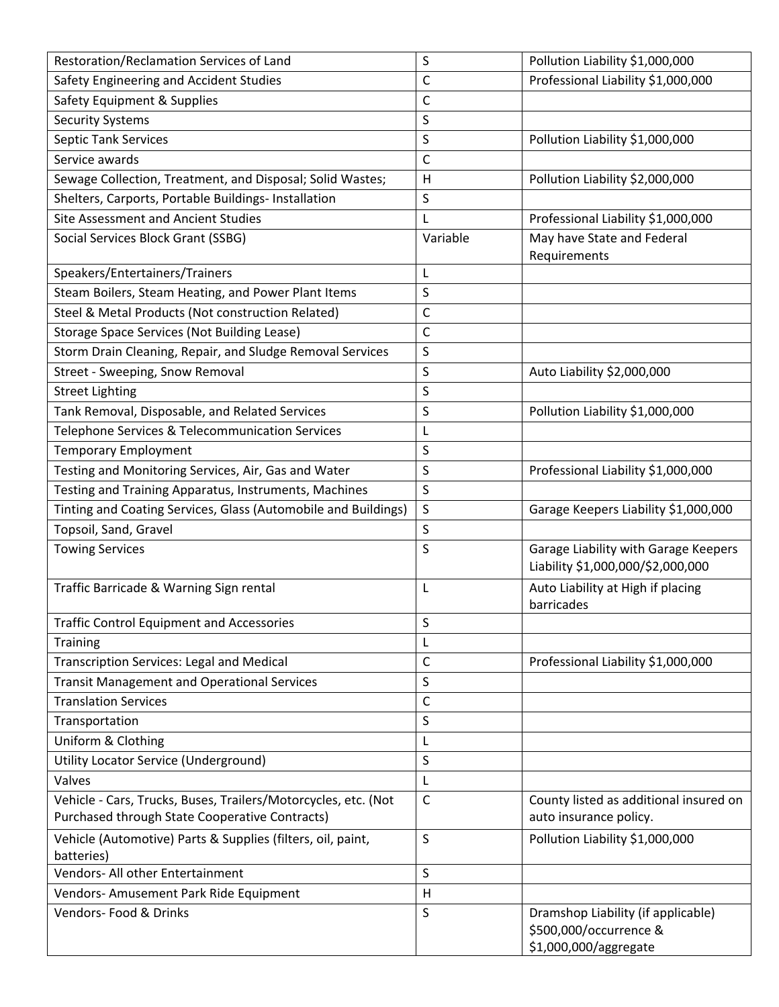| Restoration/Reclamation Services of Land                                  | S            | Pollution Liability \$1,000,000                                                       |
|---------------------------------------------------------------------------|--------------|---------------------------------------------------------------------------------------|
| Safety Engineering and Accident Studies                                   | C            | Professional Liability \$1,000,000                                                    |
| Safety Equipment & Supplies                                               | C            |                                                                                       |
| <b>Security Systems</b>                                                   | S            |                                                                                       |
| Septic Tank Services                                                      | S            | Pollution Liability \$1,000,000                                                       |
| Service awards                                                            | C            |                                                                                       |
| Sewage Collection, Treatment, and Disposal; Solid Wastes;                 | Н            | Pollution Liability \$2,000,000                                                       |
| Shelters, Carports, Portable Buildings- Installation                      | S            |                                                                                       |
| <b>Site Assessment and Ancient Studies</b>                                | L            | Professional Liability \$1,000,000                                                    |
| Social Services Block Grant (SSBG)                                        | Variable     | May have State and Federal<br>Requirements                                            |
| Speakers/Entertainers/Trainers                                            | L            |                                                                                       |
| Steam Boilers, Steam Heating, and Power Plant Items                       | S            |                                                                                       |
| Steel & Metal Products (Not construction Related)                         | C            |                                                                                       |
| <b>Storage Space Services (Not Building Lease)</b>                        | C            |                                                                                       |
| Storm Drain Cleaning, Repair, and Sludge Removal Services                 | S            |                                                                                       |
| Street - Sweeping, Snow Removal                                           | S            | Auto Liability \$2,000,000                                                            |
| <b>Street Lighting</b>                                                    | S            |                                                                                       |
| Tank Removal, Disposable, and Related Services                            | S            | Pollution Liability \$1,000,000                                                       |
| Telephone Services & Telecommunication Services                           | L            |                                                                                       |
| <b>Temporary Employment</b>                                               | S            |                                                                                       |
| Testing and Monitoring Services, Air, Gas and Water                       | S            | Professional Liability \$1,000,000                                                    |
| Testing and Training Apparatus, Instruments, Machines                     | S            |                                                                                       |
| Tinting and Coating Services, Glass (Automobile and Buildings)            | S            | Garage Keepers Liability \$1,000,000                                                  |
| Topsoil, Sand, Gravel                                                     | S            |                                                                                       |
| <b>Towing Services</b>                                                    | S            | Garage Liability with Garage Keepers<br>Liability \$1,000,000/\$2,000,000             |
| Traffic Barricade & Warning Sign rental                                   | L            | Auto Liability at High if placing<br>barricades                                       |
| <b>Traffic Control Equipment and Accessories</b>                          | S            |                                                                                       |
| <b>Training</b>                                                           | L            |                                                                                       |
| <b>Transcription Services: Legal and Medical</b>                          | C            | Professional Liability \$1,000,000                                                    |
| <b>Transit Management and Operational Services</b>                        | S            |                                                                                       |
| <b>Translation Services</b>                                               | C            |                                                                                       |
| Transportation                                                            | S            |                                                                                       |
| Uniform & Clothing                                                        | L            |                                                                                       |
| Utility Locator Service (Underground)                                     | S            |                                                                                       |
| Valves                                                                    | L            |                                                                                       |
| Vehicle - Cars, Trucks, Buses, Trailers/Motorcycles, etc. (Not            | C            | County listed as additional insured on                                                |
| Purchased through State Cooperative Contracts)                            |              | auto insurance policy.                                                                |
| Vehicle (Automotive) Parts & Supplies (filters, oil, paint,<br>batteries) | S            | Pollution Liability \$1,000,000                                                       |
| Vendors- All other Entertainment                                          | S            |                                                                                       |
| Vendors- Amusement Park Ride Equipment                                    | $\mathsf{H}$ |                                                                                       |
| Vendors- Food & Drinks                                                    | S            | Dramshop Liability (if applicable)<br>\$500,000/occurrence &<br>\$1,000,000/aggregate |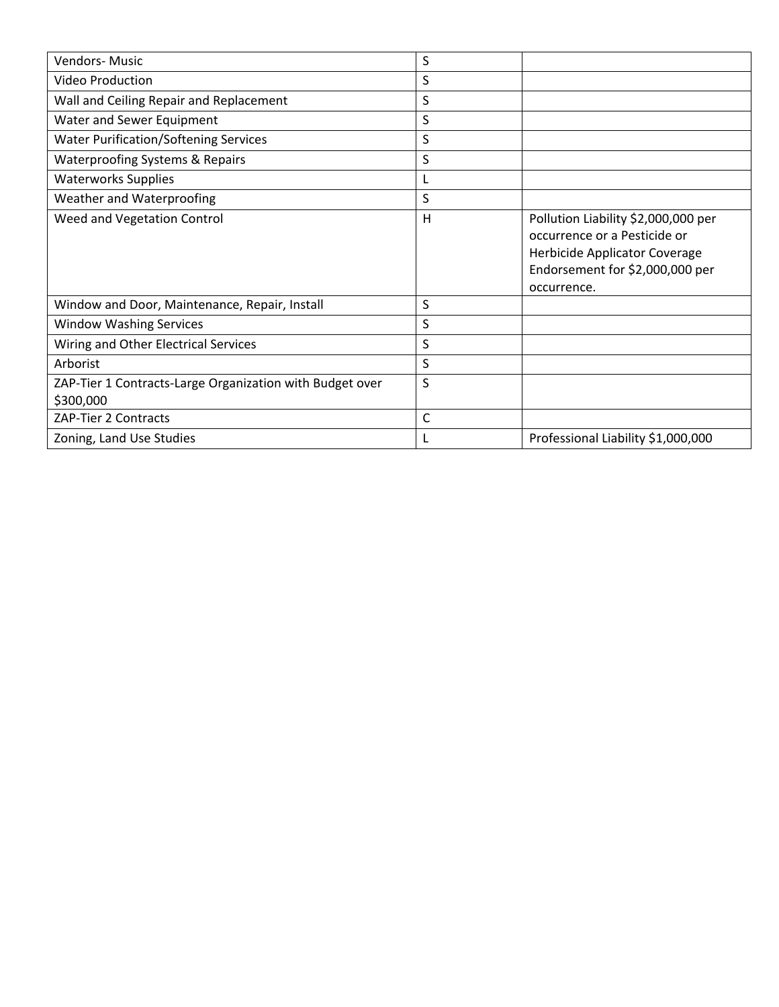| Vendors-Music                                                         | S |                                                                                                                                                        |
|-----------------------------------------------------------------------|---|--------------------------------------------------------------------------------------------------------------------------------------------------------|
| Video Production                                                      | S |                                                                                                                                                        |
| Wall and Ceiling Repair and Replacement                               | S |                                                                                                                                                        |
| Water and Sewer Equipment                                             | S |                                                                                                                                                        |
| <b>Water Purification/Softening Services</b>                          | S |                                                                                                                                                        |
| <b>Waterproofing Systems &amp; Repairs</b>                            | S |                                                                                                                                                        |
| <b>Waterworks Supplies</b>                                            | L |                                                                                                                                                        |
| Weather and Waterproofing                                             | S |                                                                                                                                                        |
| Weed and Vegetation Control                                           | H | Pollution Liability \$2,000,000 per<br>occurrence or a Pesticide or<br>Herbicide Applicator Coverage<br>Endorsement for \$2,000,000 per<br>occurrence. |
| Window and Door, Maintenance, Repair, Install                         | S |                                                                                                                                                        |
| <b>Window Washing Services</b>                                        | S |                                                                                                                                                        |
| Wiring and Other Electrical Services                                  | S |                                                                                                                                                        |
| Arborist                                                              | S |                                                                                                                                                        |
| ZAP-Tier 1 Contracts-Large Organization with Budget over<br>\$300,000 | S |                                                                                                                                                        |
| ZAP-Tier 2 Contracts                                                  | C |                                                                                                                                                        |
| Zoning, Land Use Studies                                              | L | Professional Liability \$1,000,000                                                                                                                     |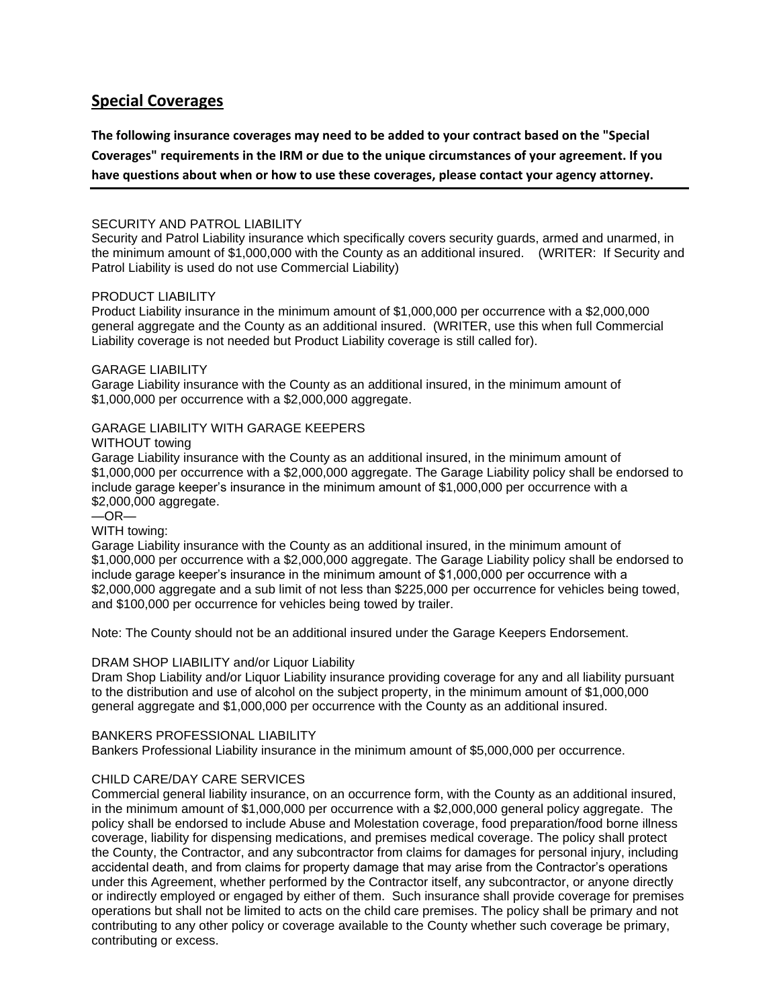# **Special Coverages**

**The following insurance coverages may need to be added to your contract based on the "Special Coverages" requirements in the IRM or due to the unique circumstances of your agreement. If you** 

**have questions about when or how to use these coverages, please contact your agency attorney.**

### SECURITY AND PATROL LIABILITY

Security and Patrol Liability insurance which specifically covers security guards, armed and unarmed, in the minimum amount of \$1,000,000 with the County as an additional insured. (WRITER: If Security and Patrol Liability is used do not use Commercial Liability)

### PRODUCT LIABILITY

Product Liability insurance in the minimum amount of \$1,000,000 per occurrence with a \$2,000,000 general aggregate and the County as an additional insured. (WRITER, use this when full Commercial Liability coverage is not needed but Product Liability coverage is still called for).

### GARAGE LIABILITY

Garage Liability insurance with the County as an additional insured, in the minimum amount of \$1,000,000 per occurrence with a \$2,000,000 aggregate.

## GARAGE LIABILITY WITH GARAGE KEEPERS

#### WITHOUT towing

Garage Liability insurance with the County as an additional insured, in the minimum amount of \$1,000,000 per occurrence with a \$2,000,000 aggregate. The Garage Liability policy shall be endorsed to include garage keeper's insurance in the minimum amount of \$1,000,000 per occurrence with a \$2,000,000 aggregate.

 $-$ OR $-$ 

## WITH towing:

Garage Liability insurance with the County as an additional insured, in the minimum amount of \$1,000,000 per occurrence with a \$2,000,000 aggregate. The Garage Liability policy shall be endorsed to include garage keeper's insurance in the minimum amount of \$1,000,000 per occurrence with a \$2,000,000 aggregate and a sub limit of not less than \$225,000 per occurrence for vehicles being towed, and \$100,000 per occurrence for vehicles being towed by trailer.

Note: The County should not be an additional insured under the Garage Keepers Endorsement.

# DRAM SHOP LIABILITY and/or Liquor Liability

Dram Shop Liability and/or Liquor Liability insurance providing coverage for any and all liability pursuant to the distribution and use of alcohol on the subject property, in the minimum amount of \$1,000,000 general aggregate and \$1,000,000 per occurrence with the County as an additional insured.

#### BANKERS PROFESSIONAL LIABILITY

Bankers Professional Liability insurance in the minimum amount of \$5,000,000 per occurrence.

# CHILD CARE/DAY CARE SERVICES

Commercial general liability insurance, on an occurrence form, with the County as an additional insured, in the minimum amount of \$1,000,000 per occurrence with a \$2,000,000 general policy aggregate. The policy shall be endorsed to include Abuse and Molestation coverage, food preparation/food borne illness coverage, liability for dispensing medications, and premises medical coverage. The policy shall protect the County, the Contractor, and any subcontractor from claims for damages for personal injury, including accidental death, and from claims for property damage that may arise from the Contractor's operations under this Agreement, whether performed by the Contractor itself, any subcontractor, or anyone directly or indirectly employed or engaged by either of them. Such insurance shall provide coverage for premises operations but shall not be limited to acts on the child care premises. The policy shall be primary and not contributing to any other policy or coverage available to the County whether such coverage be primary, contributing or excess.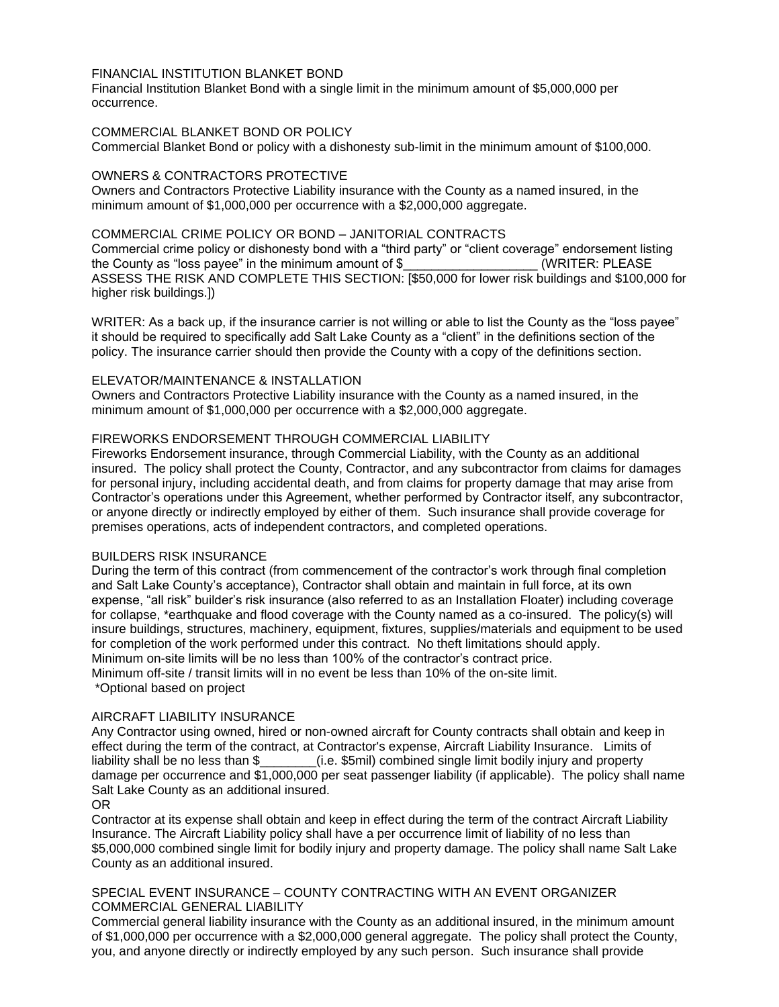# FINANCIAL INSTITUTION BLANKET BOND

Financial Institution Blanket Bond with a single limit in the minimum amount of \$5,000,000 per occurrence.

## COMMERCIAL BLANKET BOND OR POLICY

Commercial Blanket Bond or policy with a dishonesty sub-limit in the minimum amount of \$100,000.

### OWNERS & CONTRACTORS PROTECTIVE

Owners and Contractors Protective Liability insurance with the County as a named insured, in the minimum amount of \$1,000,000 per occurrence with a \$2,000,000 aggregate.

#### COMMERCIAL CRIME POLICY OR BOND – JANITORIAL CONTRACTS

Commercial crime policy or dishonesty bond with a "third party" or "client coverage" endorsement listing the County as "loss payee" in the minimum amount of \$ \_\_\_\_\_\_\_\_\_\_\_\_\_\_\_\_\_\_\_\_\_\_\_\_\_\_ (WRITER: PLEASE ASSESS THE RISK AND COMPLETE THIS SECTION: [\$50,000 for lower risk buildings and \$100,000 for higher risk buildings.])

WRITER: As a back up, if the insurance carrier is not willing or able to list the County as the "loss payee" it should be required to specifically add Salt Lake County as a "client" in the definitions section of the policy. The insurance carrier should then provide the County with a copy of the definitions section.

### ELEVATOR/MAINTENANCE & INSTALLATION

Owners and Contractors Protective Liability insurance with the County as a named insured, in the minimum amount of \$1,000,000 per occurrence with a \$2,000,000 aggregate.

### FIREWORKS ENDORSEMENT THROUGH COMMERCIAL LIABILITY

Fireworks Endorsement insurance, through Commercial Liability, with the County as an additional insured. The policy shall protect the County, Contractor, and any subcontractor from claims for damages for personal injury, including accidental death, and from claims for property damage that may arise from Contractor's operations under this Agreement, whether performed by Contractor itself, any subcontractor, or anyone directly or indirectly employed by either of them. Such insurance shall provide coverage for premises operations, acts of independent contractors, and completed operations.

#### BUILDERS RISK INSURANCE

During the term of this contract (from commencement of the contractor's work through final completion and Salt Lake County's acceptance), Contractor shall obtain and maintain in full force, at its own expense, "all risk" builder's risk insurance (also referred to as an Installation Floater) including coverage for collapse, \*earthquake and flood coverage with the County named as a co-insured. The policy(s) will insure buildings, structures, machinery, equipment, fixtures, supplies/materials and equipment to be used for completion of the work performed under this contract. No theft limitations should apply. Minimum on-site limits will be no less than 100% of the contractor's contract price. Minimum off-site / transit limits will in no event be less than 10% of the on-site limit. \*Optional based on project

#### AIRCRAFT LIABILITY INSURANCE

Any Contractor using owned, hired or non-owned aircraft for County contracts shall obtain and keep in effect during the term of the contract, at Contractor's expense, Aircraft Liability Insurance. Limits of liability shall be no less than \$\_\_\_\_\_\_\_\_(i.e. \$5mil) combined single limit bodily injury and property damage per occurrence and \$1,000,000 per seat passenger liability (if applicable). The policy shall name Salt Lake County as an additional insured.

#### OR

Contractor at its expense shall obtain and keep in effect during the term of the contract Aircraft Liability Insurance. The Aircraft Liability policy shall have a per occurrence limit of liability of no less than \$5,000,000 combined single limit for bodily injury and property damage. The policy shall name Salt Lake County as an additional insured.

#### SPECIAL EVENT INSURANCE – COUNTY CONTRACTING WITH AN EVENT ORGANIZER COMMERCIAL GENERAL LIABILITY

Commercial general liability insurance with the County as an additional insured, in the minimum amount of \$1,000,000 per occurrence with a \$2,000,000 general aggregate. The policy shall protect the County, you, and anyone directly or indirectly employed by any such person. Such insurance shall provide